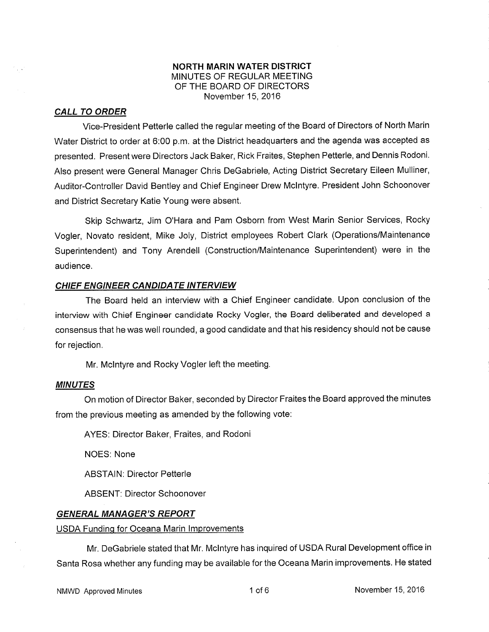### NORTH MARIN WATER DISTRICT MINUTES OF REGULAR MEETING OF THE BOARD OF DIRECTORS November 15, 2016

#### CALL TO ORDER

Vice-President Petterle called the regular meeting of the Board of Directors of Nofth Marin Water District to order at 6:00 p.m. at the District headquarters and the agenda was accepted as presented. Present were Directors Jack Baker, Rick Fraites, Stephen Petterle, and Dennis Rodoni. Also present were General Manager Chris DeGabriele, Acting District Secretary Eileen Mulliner, Auditor-Controller David Bentley and Chief Engineer Drew Mclntyre. President John Schoonover and District Secretary Katie Young were absent.

Skip Schwartz, Jim O'Hara and Pam Osborn from West Marin Senior Services, Rocky Vogler, Novato resident, Mike Joly, District employees Robert Clark (Operations/Maintenance Superintendent) and Tony Arendell (Construction/Maintenance Superintendent) were in the audience.

### CHIEF ENGINEER CANDIDATE INTERVIEW

The Board held an interview with a Chief Engineer candidate. Upon conclusion of the interview with Chief Engineer candidate Rocky Vogler, the Board deliberated and developed a consensus that he was well rounded, a good candidate and that his residency should not be cause for rejection.

Mr. Mclntyre and Rocky Vogler left the meeting.

### MINUTES

On motion of Director Baker, seconded by Director Fraites the Board approved the minutes from the previous meeting as amended by the following vote:

AYES: Director Baker, Fraites, and Rodoni

NOES: None

**ABSTAIN: Director Petterle** 

ABSENT: Director Schoonover

### **GENERAL MANAGER'S REPORT**

#### USDA Funding for Oceana Marin Improvements

Mr. DeGabriele stated that Mr. Mclntyre has inquired of USDA Rural Development office in Santa Rosa whether any funding may be available for the Oceana Marin improvements. He stated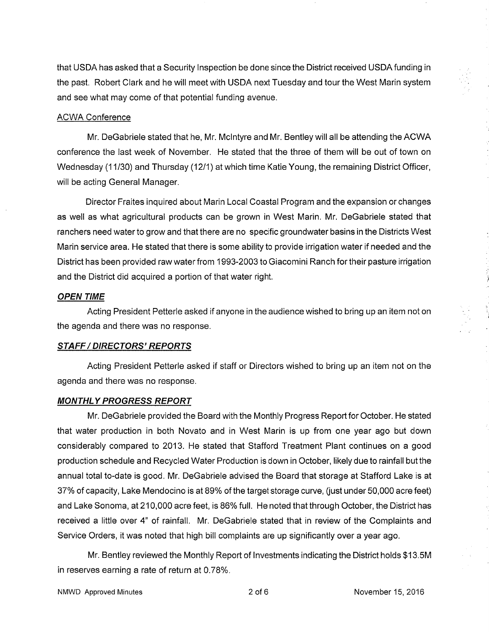that USDA has asked that a Security lnspection be done since the District received USDAfunding in the past. Robert Clark and he will meet with USDA next Tuesday and tour the West Marin system and see what may come of that potential funding avenue.

#### ACWA. Conference

Mr. DeGabriele stated that he, Mr. Mclntyre and Mr. Bentley will all be attending the ACWA conference the last week of November. He stated that the three of them will be out of town on Wednesday (1 1/30) and Thursday (1211) at which time Katie Young, the remaining District Officer, will be acting General Manager.

Director Fraites inquired about Marin Local Coastal Program and the expansion or changes as well as what agricultural products can be grown in West Marin. Mr. DeGabriele stated that ranchers need water to grow and that there are no specific groundwater basins in the Districts West Marin service area. He stated that there is some ability to provide irrigation water if needed and the District has been provided raw water from 1993-2003 to Giacomini Ranch for their pasture irrigation and the District did acquired a portion of that water right.

#### **OPEN TIME**

Acting President Petterle asked if anyone in the audience wished to bring up an item not on the agenda and there was no response.

### STAFF / DIRECTORS' REPORTS

Acting President Petterle asked if staff or Directors wished to bring up an item not on the agenda and there was no response.

#### MONTHLY PROGRESS REPORT

Mr. DeGabriele provided the Board with the Monthly Progress Report for October. He stated that water production in both Novato and in West Marin is up from one year ago but down considerably compared to 2013. He stated that Stafford Treatment Plant continues on a good production schedule and Recycled Water Production is down in October, likely due to rainfall but the annual total to-date is good. Mr. DeGabriele advised the Board that storage at Stafford Lake is at 37% of capacity, Lake Mendocino is at 89% of the target storage curve, (just under 50,000 acre feet) and Lake Sonoma, at 210,000 acre feet, is 86% full. He noted that through October, the District has received a little over 4" of rainfall. Mr. DeGabriele stated that in review of the Complaints and Service Orders, it was noted that high bill complaints are up significantly over a year ago.

Mr. Bentley reviewed the Monthly Report of lnvestments indicating the District holds \$13.5M in reserves earning a rate of return at 0.78%.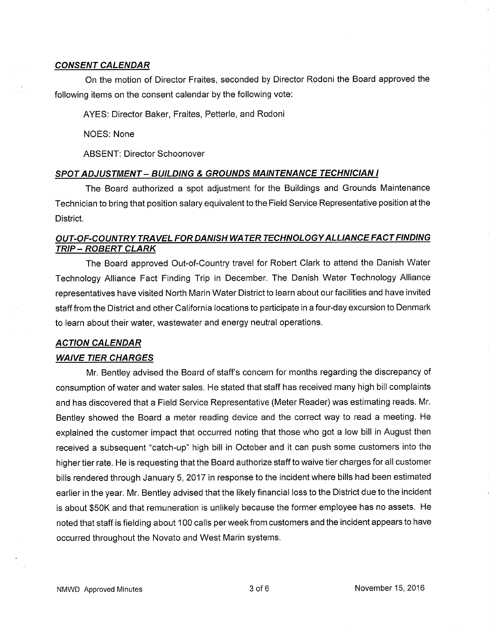#### **CONSENT CALENDAR**

On the motion of Director Fraites, seconded by Director Rodoni the Board approved the following items on the consent calendar by the following vote:

AYES: Director Baker, Fraites, Petterle, and Rodoni

NOES: None

ABSENT: Director Schoonover

#### SPOT ADJUSTMENT - BUILDING & GROUNDS MAINTENANCE TECHNICIAN I

The Board authorized a spot adjustment for the Buildings and Grounds Maintenance Technician to bring that position salary equivalent to the Field Service Representative position at the District.

## OUT-OF-COUNTRY TRAVEL FOR DANISH WA TER TECHNOLOGY ALLIANCE FACT FINDING TRIP - ROBERT CLARK

The Board approved Out-of-Country travel for Robert Clark to attend the Danish Water Technology Alliance Fact Finding Trip in December. The Danish Water Technology Alliance representatives have visited North Marin Water District to learn about our facilities and have invited staff from the District and other California locations to participate in a four-day excursion to Denmark to learn about their water, wastewater and energy neutral operations.

### ACTION CALENDAR

### WAIVE TIER CHARGES

Mr. Bentley advised the Board of staff's concern for months regarding the discrepancy of consumption of water and water sales. He stated that staff has received many high bill complaints and has discovered that a Field Service Representative (Meter Reader) was estimating reads. Mr. Bentley showed the Board a meter reading device and the correct way to read a meeting. He explained the customer impact that occurred noting that those who got a low bill in August then received a subsequent "catch-up" high bill in October and it can push some customers into the higher tier rate. He is requesting that the Board authorize staff to waive tier charges for all customer bills rendered through January 5,2017 in response to the incident where bills had been estimated earlier in the year. Mr. Bentley advised that the likely financial loss to the District due to the incident is about \$50K and that remuneration is unlikely because the former employee has no assets. He noted that staff is fielding about 100 calls per week from customers and the incident appears to have occurred throughout the Novato and West Marin systems.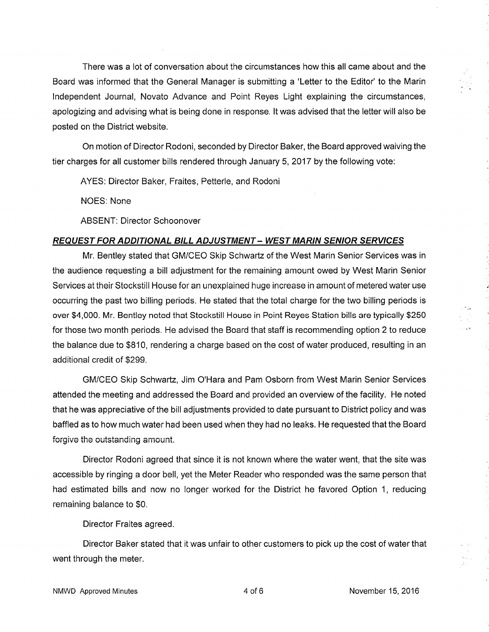There was a lot of conversation about the circumstances how this all came about and the Board was informed that the General Manager is submitting a 'Letter to the Editor' to the Marin lndependent Journal, Novato Advance and Point Reyes Light explaining the circumstances, apologizing and advising what is being done in response. lt was advised that the letter will also be posted on the District website.

On motion of Director Rodoni, seconded by Director Baker, the Board approved waiving the tier charges for all customer bills rendered through January 5,2017 by the following vote:

AYES: Director Baker, Fraites, Petterle, and Rodoni

NOES: None

ABSENT: Director Schoonover

## REQUEST FOR ADDITIONAL BILL ADJUSTMENT - WEST MARIN SEN'OR SERY/CES

Mr. Bentley stated that GM/CEO Skip Schwartz of the West Marin Senior Services was in the audience requesting a bill adjustment for the remaining amount owed by West Marin Senior Services at their Stockstill House for an unexplained huge increase in amount of metered water use occurring the past two billing periods. He stated that the total charge for the two billing periods is over \$4,000. Mr. Bentley noted that Stockstill House in Point Reyes Station bills are typically \$250 for those two month periods. He advised the Board that staff is recommending option 2 to reduce the balance due to \$810, rendering a charge based on the cost of water produced, resulting in an additional eredit of \$299.

GM/CEO Skip Schwartz, Jim O'Hara and Pam Osborn from West Marin Senior Services attended the meeting and addressed the Board and provided an overview of the facility. He noted that he was appreciative of the bill adjustments provided to date pursuant to District policy and was baffled as to how much water had been used when they had no leaks. He requested that the Board forgive the outstanding amount.

Director Rodoni agreed that since it is not known where the water went, that the site was accessible by ringing a door bell, yet the Meter Reader who responded was the same person that had estimated bills and now no longer worked for the District he favored Option 1, reducing remaining balance to \$0.

Director Fraites agreed.

Director Baker stated that it was unfair to other customers to pick up the cost of water that went through the meter.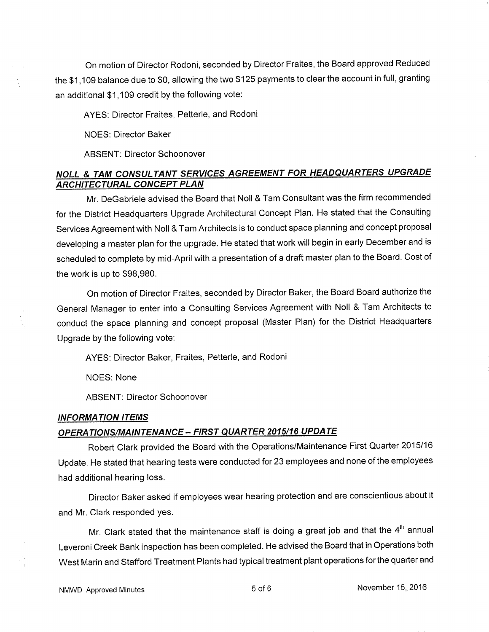On motion of Director Rodoni, seconded by Director Fraites, the Board approved Reduced the \$1,109 balance due to \$0, allowing the two \$125 payments to clear the account in full, granting an additional \$1,109 credit by the following vote:

### AYES: Director Fraites, Petterle, and Rodoni

NOES: Director Baker

ABSENT: Director Schoonover

## NOLL & TAM CONSULTANT SERVICES AGREEMENT FOR HEADQUARTERS UPGRADE **ARCHITECTURAL CONCEPT PLAN**

Mr. DeGabriele advised the Board that Noll & Tam Consultant was the firm recommended for the District Headquarters Upgrade Architectural Concept Plan. He stated that the Consulting Services Agreement with Noll & Tam Architects is to conduct space planning and concept proposal developing a master plan for the upgrade. He stated that work will begin in early December and is scheduled to complete by mid-April with a presentation of a draft master plan to the Board. Cost of the work is up to \$98,980.

On motion of Director Fraites, seconded by Director Baker, the Board Board authorize the General Manager to enter into a Consulting Services Agreement with Noll & Tam Architects to conduct the space planning and concept proposal (Master Plan) for the District Headquarters Upgrade by the following vote:

AYES: Director Baker, Fraites, Petterle, and Rodoni

NOES: None

ABSENT: Director Schoonover

#### INFORMATION ITEMS

# OPERATIONS/MAINTENANCE - FIRST QUARTER 2015/16 UPDATE

Robert Clark provided the Board with the Operations/Maintenance First Quarter <sup>2015116</sup> Update. He stated that hearing tests were conducted for 23 employees and none of the employees had additional hearing loss.

Director Baker asked if employees wear hearing protection and are conscientious about it and Mr. Clark responded yes.

Mr. Clark stated that the maintenance staff is doing a great job and that the  $4<sup>th</sup>$  annual Leveroni Creek Bank inspection has been completed. He advised the Board that in Operations both West Marin and Stafford Treatment Plants had typical treatment plant operations forthe quafter and

NMWD Approved Minutes **November 15, 2016** Sof 6 November 15, 2016